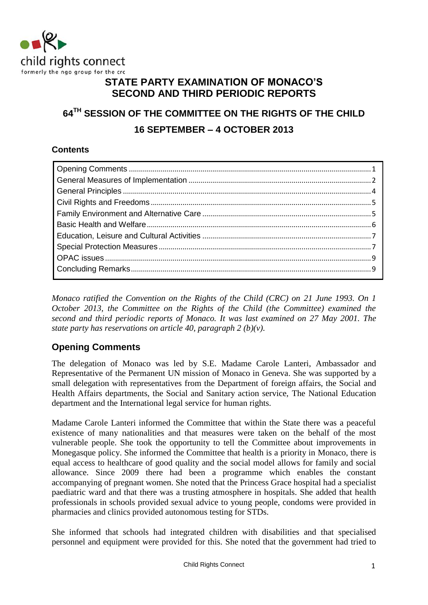

## **STATE PARTY EXAMINATION OF MONACO'S SECOND AND THIRD PERIODIC REPORTS**

# **64TH SESSION OF THE COMMITTEE ON THE RIGHTS OF THE CHILD 16 SEPTEMBER – 4 OCTOBER 2013**

### **Contents**

*Monaco ratified the Convention on the Rights of the Child (CRC) on 21 June 1993. On 1 October 2013, the Committee on the Rights of the Child (the Committee) examined the second and third periodic reports of Monaco. It was last examined on 27 May 2001. The state party has reservations on article 40, paragraph 2 (b)(v).* 

## <span id="page-0-0"></span>**Opening Comments**

The delegation of Monaco was led by S.E. Madame Carole Lanteri, Ambassador and Representative of the Permanent UN mission of Monaco in Geneva. She was supported by a small delegation with representatives from the Department of foreign affairs, the Social and Health Affairs departments, the Social and Sanitary action service, The National Education department and the International legal service for human rights.

Madame Carole Lanteri informed the Committee that within the State there was a peaceful existence of many nationalities and that measures were taken on the behalf of the most vulnerable people. She took the opportunity to tell the Committee about improvements in Monegasque policy. She informed the Committee that health is a priority in Monaco, there is equal access to healthcare of good quality and the social model allows for family and social allowance. Since 2009 there had been a programme which enables the constant accompanying of pregnant women. She noted that the Princess Grace hospital had a specialist paediatric ward and that there was a trusting atmosphere in hospitals. She added that health professionals in schools provided sexual advice to young people, condoms were provided in pharmacies and clinics provided autonomous testing for STDs.

She informed that schools had integrated children with disabilities and that specialised personnel and equipment were provided for this. She noted that the government had tried to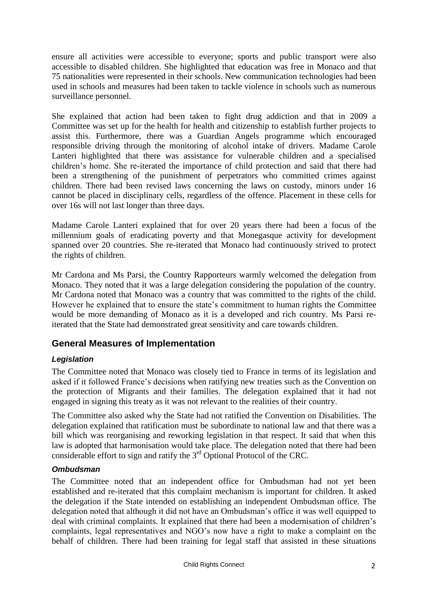ensure all activities were accessible to everyone; sports and public transport were also accessible to disabled children. She highlighted that education was free in Monaco and that 75 nationalities were represented in their schools. New communication technologies had been used in schools and measures had been taken to tackle violence in schools such as numerous surveillance personnel.

She explained that action had been taken to fight drug addiction and that in 2009 a Committee was set up for the health for health and citizenship to establish further projects to assist this. Furthermore, there was a Guardian Angels programme which encouraged responsible driving through the monitoring of alcohol intake of drivers. Madame Carole Lanteri highlighted that there was assistance for vulnerable children and a specialised children's home. She re-iterated the importance of child protection and said that there had been a strengthening of the punishment of perpetrators who committed crimes against children. There had been revised laws concerning the laws on custody, minors under 16 cannot be placed in disciplinary cells, regardless of the offence. Placement in these cells for over 16s will not last longer than three days.

Madame Carole Lanteri explained that for over 20 years there had been a focus of the millennium goals of eradicating poverty and that Monegasque activity for development spanned over 20 countries. She re-iterated that Monaco had continuously strived to protect the rights of children.

Mr Cardona and Ms Parsi, the Country Rapporteurs warmly welcomed the delegation from Monaco. They noted that it was a large delegation considering the population of the country. Mr Cardona noted that Monaco was a country that was committed to the rights of the child. However he explained that to ensure the state's commitment to human rights the Committee would be more demanding of Monaco as it is a developed and rich country. Ms Parsi reiterated that the State had demonstrated great sensitivity and care towards children.

## <span id="page-1-0"></span>**General Measures of Implementation**

### *Legislation*

The Committee noted that Monaco was closely tied to France in terms of its legislation and asked if it followed France's decisions when ratifying new treaties such as the Convention on the protection of Migrants and their families. The delegation explained that it had not engaged in signing this treaty as it was not relevant to the realities of their country.

The Committee also asked why the State had not ratified the Convention on Disabilities. The delegation explained that ratification must be subordinate to national law and that there was a bill which was reorganising and reworking legislation in that respect. It said that when this law is adopted that harmonisation would take place. The delegation noted that there had been considerable effort to sign and ratify the 3rd Optional Protocol of the CRC.

#### *Ombudsman*

The Committee noted that an independent office for Ombudsman had not yet been established and re-iterated that this complaint mechanism is important for children. It asked the delegation if the State intended on establishing an independent Ombudsman office. The delegation noted that although it did not have an Ombudsman's office it was well equipped to deal with criminal complaints. It explained that there had been a modernisation of children's complaints, legal representatives and NGO's now have a right to make a complaint on the behalf of children. There had been training for legal staff that assisted in these situations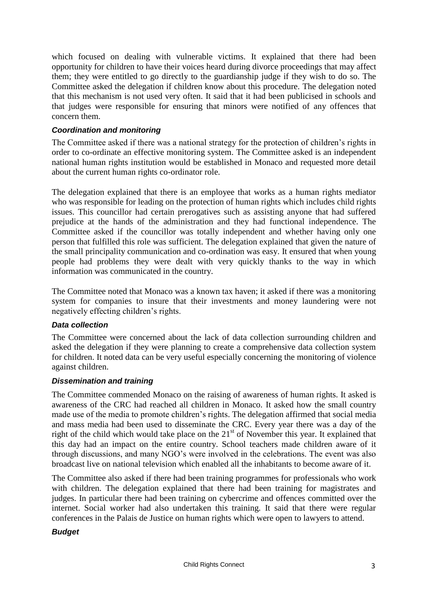which focused on dealing with vulnerable victims. It explained that there had been opportunity for children to have their voices heard during divorce proceedings that may affect them; they were entitled to go directly to the guardianship judge if they wish to do so. The Committee asked the delegation if children know about this procedure. The delegation noted that this mechanism is not used very often. It said that it had been publicised in schools and that judges were responsible for ensuring that minors were notified of any offences that concern them.

#### *Coordination and monitoring*

The Committee asked if there was a national strategy for the protection of children's rights in order to co-ordinate an effective monitoring system. The Committee asked is an independent national human rights institution would be established in Monaco and requested more detail about the current human rights co-ordinator role.

The delegation explained that there is an employee that works as a human rights mediator who was responsible for leading on the protection of human rights which includes child rights issues. This councillor had certain prerogatives such as assisting anyone that had suffered prejudice at the hands of the administration and they had functional independence. The Committee asked if the councillor was totally independent and whether having only one person that fulfilled this role was sufficient. The delegation explained that given the nature of the small principality communication and co-ordination was easy. It ensured that when young people had problems they were dealt with very quickly thanks to the way in which information was communicated in the country.

The Committee noted that Monaco was a known tax haven; it asked if there was a monitoring system for companies to insure that their investments and money laundering were not negatively effecting children's rights.

#### *Data collection*

The Committee were concerned about the lack of data collection surrounding children and asked the delegation if they were planning to create a comprehensive data collection system for children. It noted data can be very useful especially concerning the monitoring of violence against children.

#### *Dissemination and training*

The Committee commended Monaco on the raising of awareness of human rights. It asked is awareness of the CRC had reached all children in Monaco. It asked how the small country made use of the media to promote children's rights. The delegation affirmed that social media and mass media had been used to disseminate the CRC. Every year there was a day of the right of the child which would take place on the  $21<sup>st</sup>$  of November this year. It explained that this day had an impact on the entire country. School teachers made children aware of it through discussions, and many NGO's were involved in the celebrations. The event was also broadcast live on national television which enabled all the inhabitants to become aware of it.

The Committee also asked if there had been training programmes for professionals who work with children. The delegation explained that there had been training for magistrates and judges. In particular there had been training on cybercrime and offences committed over the internet. Social worker had also undertaken this training. It said that there were regular conferences in the Palais de Justice on human rights which were open to lawyers to attend.

#### *Budget*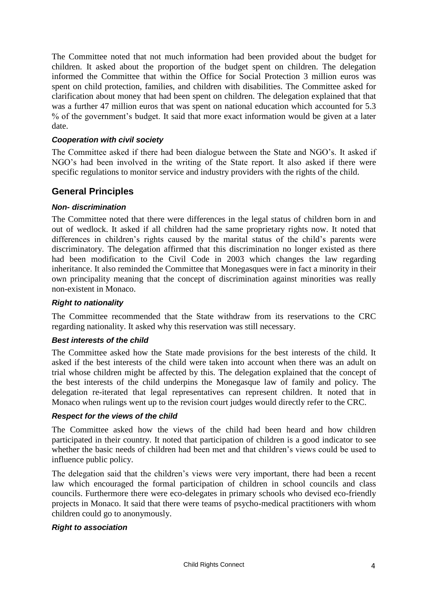The Committee noted that not much information had been provided about the budget for children. It asked about the proportion of the budget spent on children. The delegation informed the Committee that within the Office for Social Protection 3 million euros was spent on child protection, families, and children with disabilities. The Committee asked for clarification about money that had been spent on children. The delegation explained that that was a further 47 million euros that was spent on national education which accounted for 5.3 % of the government's budget. It said that more exact information would be given at a later date.

#### *Cooperation with civil society*

The Committee asked if there had been dialogue between the State and NGO's. It asked if NGO's had been involved in the writing of the State report. It also asked if there were specific regulations to monitor service and industry providers with the rights of the child.

### <span id="page-3-0"></span>**General Principles**

#### *Non- discrimination*

The Committee noted that there were differences in the legal status of children born in and out of wedlock. It asked if all children had the same proprietary rights now. It noted that differences in children's rights caused by the marital status of the child's parents were discriminatory. The delegation affirmed that this discrimination no longer existed as there had been modification to the Civil Code in 2003 which changes the law regarding inheritance. It also reminded the Committee that Monegasques were in fact a minority in their own principality meaning that the concept of discrimination against minorities was really non-existent in Monaco.

#### *Right to nationality*

The Committee recommended that the State withdraw from its reservations to the CRC regarding nationality. It asked why this reservation was still necessary.

#### *Best interests of the child*

The Committee asked how the State made provisions for the best interests of the child. It asked if the best interests of the child were taken into account when there was an adult on trial whose children might be affected by this. The delegation explained that the concept of the best interests of the child underpins the Monegasque law of family and policy. The delegation re-iterated that legal representatives can represent children. It noted that in Monaco when rulings went up to the revision court judges would directly refer to the CRC.

#### *Respect for the views of the child*

The Committee asked how the views of the child had been heard and how children participated in their country. It noted that participation of children is a good indicator to see whether the basic needs of children had been met and that children's views could be used to influence public policy.

The delegation said that the children's views were very important, there had been a recent law which encouraged the formal participation of children in school councils and class councils. Furthermore there were eco-delegates in primary schools who devised eco-friendly projects in Monaco. It said that there were teams of psycho-medical practitioners with whom children could go to anonymously.

#### *Right to association*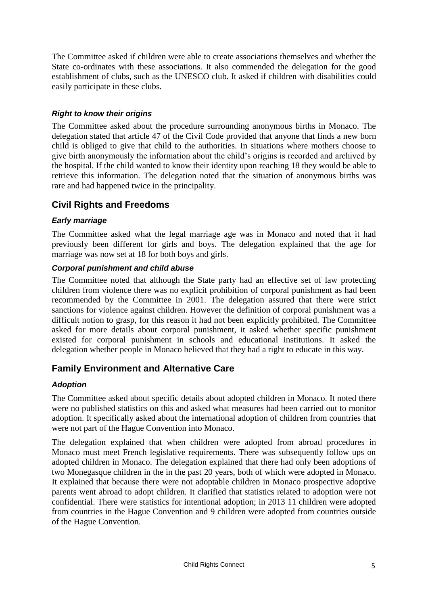The Committee asked if children were able to create associations themselves and whether the State co-ordinates with these associations. It also commended the delegation for the good establishment of clubs, such as the UNESCO club. It asked if children with disabilities could easily participate in these clubs.

### *Right to know their origins*

The Committee asked about the procedure surrounding anonymous births in Monaco. The delegation stated that article 47 of the Civil Code provided that anyone that finds a new born child is obliged to give that child to the authorities. In situations where mothers choose to give birth anonymously the information about the child's origins is recorded and archived by the hospital. If the child wanted to know their identity upon reaching 18 they would be able to retrieve this information. The delegation noted that the situation of anonymous births was rare and had happened twice in the principality.

## <span id="page-4-0"></span>**Civil Rights and Freedoms**

#### *Early marriage*

The Committee asked what the legal marriage age was in Monaco and noted that it had previously been different for girls and boys. The delegation explained that the age for marriage was now set at 18 for both boys and girls.

#### *Corporal punishment and child abuse*

The Committee noted that although the State party had an effective set of law protecting children from violence there was no explicit prohibition of corporal punishment as had been recommended by the Committee in 2001. The delegation assured that there were strict sanctions for violence against children. However the definition of corporal punishment was a difficult notion to grasp, for this reason it had not been explicitly prohibited. The Committee asked for more details about corporal punishment, it asked whether specific punishment existed for corporal punishment in schools and educational institutions. It asked the delegation whether people in Monaco believed that they had a right to educate in this way.

### <span id="page-4-1"></span>**Family Environment and Alternative Care**

#### *Adoption*

The Committee asked about specific details about adopted children in Monaco. It noted there were no published statistics on this and asked what measures had been carried out to monitor adoption. It specifically asked about the international adoption of children from countries that were not part of the Hague Convention into Monaco.

The delegation explained that when children were adopted from abroad procedures in Monaco must meet French legislative requirements. There was subsequently follow ups on adopted children in Monaco. The delegation explained that there had only been adoptions of two Monegasque children in the in the past 20 years, both of which were adopted in Monaco. It explained that because there were not adoptable children in Monaco prospective adoptive parents went abroad to adopt children. It clarified that statistics related to adoption were not confidential. There were statistics for intentional adoption; in 2013 11 children were adopted from countries in the Hague Convention and 9 children were adopted from countries outside of the Hague Convention.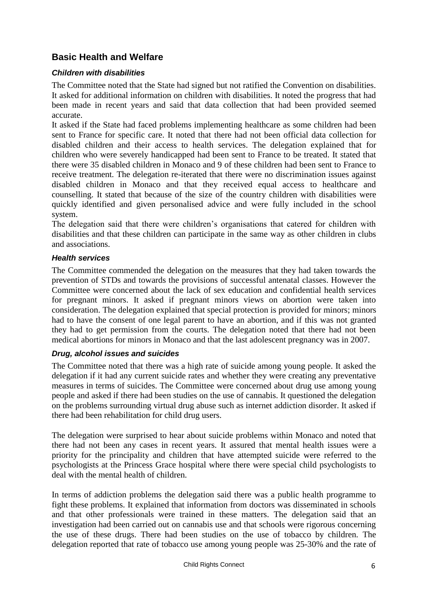## <span id="page-5-0"></span>**Basic Health and Welfare**

#### *Children with disabilities*

The Committee noted that the State had signed but not ratified the Convention on disabilities. It asked for additional information on children with disabilities. It noted the progress that had been made in recent years and said that data collection that had been provided seemed accurate.

It asked if the State had faced problems implementing healthcare as some children had been sent to France for specific care. It noted that there had not been official data collection for disabled children and their access to health services. The delegation explained that for children who were severely handicapped had been sent to France to be treated. It stated that there were 35 disabled children in Monaco and 9 of these children had been sent to France to receive treatment. The delegation re-iterated that there were no discrimination issues against disabled children in Monaco and that they received equal access to healthcare and counselling. It stated that because of the size of the country children with disabilities were quickly identified and given personalised advice and were fully included in the school system.

The delegation said that there were children's organisations that catered for children with disabilities and that these children can participate in the same way as other children in clubs and associations.

#### *Health services*

The Committee commended the delegation on the measures that they had taken towards the prevention of STDs and towards the provisions of successful antenatal classes. However the Committee were concerned about the lack of sex education and confidential health services for pregnant minors. It asked if pregnant minors views on abortion were taken into consideration. The delegation explained that special protection is provided for minors; minors had to have the consent of one legal parent to have an abortion, and if this was not granted they had to get permission from the courts. The delegation noted that there had not been medical abortions for minors in Monaco and that the last adolescent pregnancy was in 2007.

#### *Drug, alcohol issues and suicides*

The Committee noted that there was a high rate of suicide among young people. It asked the delegation if it had any current suicide rates and whether they were creating any preventative measures in terms of suicides. The Committee were concerned about drug use among young people and asked if there had been studies on the use of cannabis. It questioned the delegation on the problems surrounding virtual drug abuse such as internet addiction disorder. It asked if there had been rehabilitation for child drug users.

The delegation were surprised to hear about suicide problems within Monaco and noted that there had not been any cases in recent years. It assured that mental health issues were a priority for the principality and children that have attempted suicide were referred to the psychologists at the Princess Grace hospital where there were special child psychologists to deal with the mental health of children.

In terms of addiction problems the delegation said there was a public health programme to fight these problems. It explained that information from doctors was disseminated in schools and that other professionals were trained in these matters. The delegation said that an investigation had been carried out on cannabis use and that schools were rigorous concerning the use of these drugs. There had been studies on the use of tobacco by children. The delegation reported that rate of tobacco use among young people was 25-30% and the rate of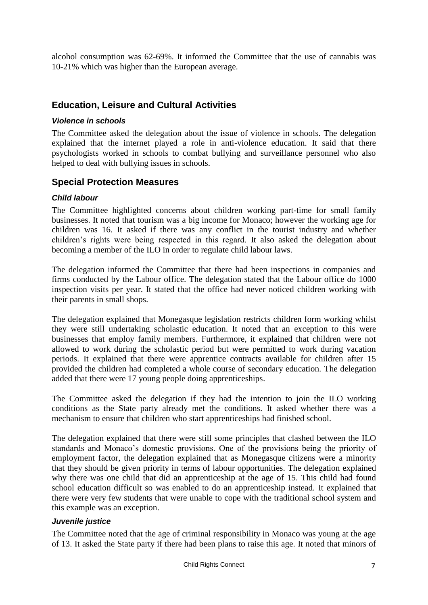alcohol consumption was 62-69%. It informed the Committee that the use of cannabis was 10-21% which was higher than the European average.

### <span id="page-6-0"></span>**Education, Leisure and Cultural Activities**

#### *Violence in schools*

The Committee asked the delegation about the issue of violence in schools. The delegation explained that the internet played a role in anti-violence education. It said that there psychologists worked in schools to combat bullying and surveillance personnel who also helped to deal with bullying issues in schools.

### <span id="page-6-1"></span>**Special Protection Measures**

#### *Child labour*

The Committee highlighted concerns about children working part-time for small family businesses. It noted that tourism was a big income for Monaco; however the working age for children was 16. It asked if there was any conflict in the tourist industry and whether children's rights were being respected in this regard. It also asked the delegation about becoming a member of the ILO in order to regulate child labour laws.

The delegation informed the Committee that there had been inspections in companies and firms conducted by the Labour office. The delegation stated that the Labour office do 1000 inspection visits per year. It stated that the office had never noticed children working with their parents in small shops.

The delegation explained that Monegasque legislation restricts children form working whilst they were still undertaking scholastic education. It noted that an exception to this were businesses that employ family members. Furthermore, it explained that children were not allowed to work during the scholastic period but were permitted to work during vacation periods. It explained that there were apprentice contracts available for children after 15 provided the children had completed a whole course of secondary education. The delegation added that there were 17 young people doing apprenticeships.

The Committee asked the delegation if they had the intention to join the ILO working conditions as the State party already met the conditions. It asked whether there was a mechanism to ensure that children who start apprenticeships had finished school.

The delegation explained that there were still some principles that clashed between the ILO standards and Monaco's domestic provisions. One of the provisions being the priority of employment factor, the delegation explained that as Monegasque citizens were a minority that they should be given priority in terms of labour opportunities. The delegation explained why there was one child that did an apprenticeship at the age of 15. This child had found school education difficult so was enabled to do an apprenticeship instead. It explained that there were very few students that were unable to cope with the traditional school system and this example was an exception.

#### *Juvenile justice*

The Committee noted that the age of criminal responsibility in Monaco was young at the age of 13. It asked the State party if there had been plans to raise this age. It noted that minors of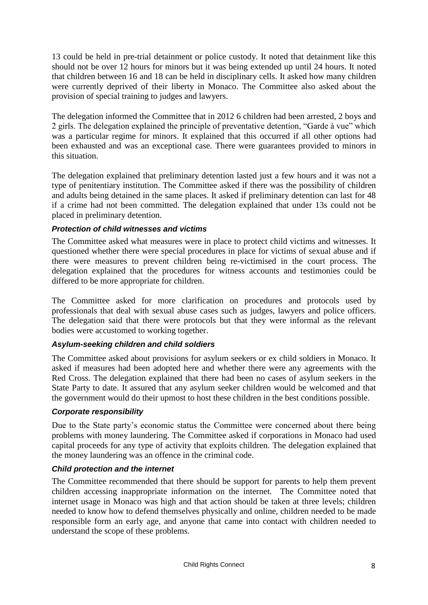13 could be held in pre-trial detainment or police custody. It noted that detainment like this should not be over 12 hours for minors but it was being extended up until 24 hours. It noted that children between 16 and 18 can be held in disciplinary cells. It asked how many children were currently deprived of their liberty in Monaco. The Committee also asked about the provision of special training to judges and lawyers.

The delegation informed the Committee that in 2012 6 children had been arrested, 2 boys and 2 girls. The delegation explained the principle of preventative detention, "Garde à vue" which was a particular regime for minors. It explained that this occurred if all other options had been exhausted and was an exceptional case. There were guarantees provided to minors in this situation.

The delegation explained that preliminary detention lasted just a few hours and it was not a type of penitentiary institution. The Committee asked if there was the possibility of children and adults being detained in the same places. It asked if preliminary detention can last for 48 if a crime had not been committed. The delegation explained that under 13s could not be placed in preliminary detention.

#### *Protection of child witnesses and victims*

The Committee asked what measures were in place to protect child victims and witnesses. It questioned whether there were special procedures in place for victims of sexual abuse and if there were measures to prevent children being re-victimised in the court process. The delegation explained that the procedures for witness accounts and testimonies could be differed to be more appropriate for children.

The Committee asked for more clarification on procedures and protocols used by professionals that deal with sexual abuse cases such as judges, lawyers and police officers. The delegation said that there were protocols but that they were informal as the relevant bodies were accustomed to working together.

#### *Asylum-seeking children and child soldiers*

The Committee asked about provisions for asylum seekers or ex child soldiers in Monaco. It asked if measures had been adopted here and whether there were any agreements with the Red Cross. The delegation explained that there had been no cases of asylum seekers in the State Party to date. It assured that any asylum seeker children would be welcomed and that the government would do their upmost to host these children in the best conditions possible.

#### *Corporate responsibility*

Due to the State party's economic status the Committee were concerned about there being problems with money laundering. The Committee asked if corporations in Monaco had used capital proceeds for any type of activity that exploits children. The delegation explained that the money laundering was an offence in the criminal code.

#### *Child protection and the internet*

The Committee recommended that there should be support for parents to help them prevent children accessing inappropriate information on the internet. The Committee noted that internet usage in Monaco was high and that action should be taken at three levels; children needed to know how to defend themselves physically and online, children needed to be made responsible form an early age, and anyone that came into contact with children needed to understand the scope of these problems.